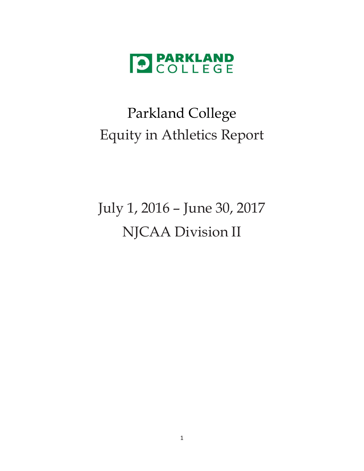

## Parkland College Equity in Athletics Report

# July 1, 2016 – June 30, 2017 NJCAA Division II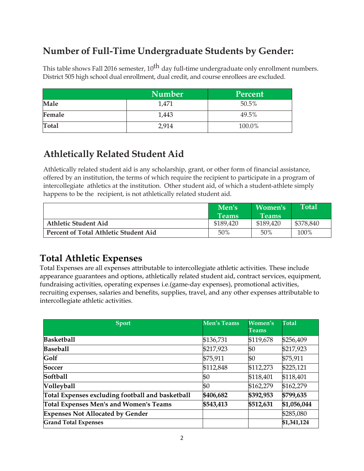## **Number of Full-Time Undergraduate Students by Gender:**

This table shows Fall 2016 semester,  $10^{th}$  day full-time undergraduate only enrollment numbers. District 505 high school dual enrollment, dual credit, and course enrollees are excluded.

|              | <b>Number</b> | <b>Percent</b> |
|--------------|---------------|----------------|
| Male         | 1,471         | 50.5%          |
| Female       | 1,443         | 49.5%          |
| <b>Total</b> | 2,914         | 100.0%         |

#### **Athletically Related Student Aid**

Athletically related student aid is any scholarship, grant, or other form of financial assistance, offered by an institution, the terms of which require the recipient to participate in a program of intercollegiate athletics at the institution. Other student aid, of which a student-athlete simply happens to be the recipient, is not athletically related student aid.

|                                       | Men's        | <b>Women's</b> | Total     |
|---------------------------------------|--------------|----------------|-----------|
|                                       | <b>Teams</b> | <b>Teams</b>   |           |
| <b>Athletic Student Aid</b>           | \$189,420    | \$189,420      | \$378,840 |
| Percent of Total Athletic Student Aid | 50%          | 50%            | 100%      |

#### **Total Athletic Expenses**

Total Expenses are all expenses attributable to intercollegiate athletic activities. These include appearance guarantees and options, athletically related student aid, contract services, equipment, fundraising activities, operating expenses i.e.(game-day expenses), promotional activities, recruiting expenses, salaries and benefits, supplies, travel, and any other expenses attributable to intercollegiate athletic activities.

| <b>Sport</b>                                     | <b>Men's Teams</b> | Women's<br><b>Teams</b> | Total       |
|--------------------------------------------------|--------------------|-------------------------|-------------|
| <b>Basketball</b>                                | \$136,731          | \$119,678               | \$256,409   |
| <b>Baseball</b>                                  | \$217,923          | \$0                     | \$217,923   |
| Golf                                             | \$75,911           | \$0                     | \$75,911    |
| Soccer                                           | \$112,848          | \$112,273               | \$225,121   |
| <b>Softball</b>                                  | \$0                | \$118,401               | \$118,401   |
| Volleyball                                       | \$0                | \$162,279               | \$162,279   |
| Total Expenses excluding football and basketball | \$406,682          | \$392,953               | \$799,635   |
| Total Expenses Men's and Women's Teams           | \$543,413          | \$512,631               | \$1,056,044 |
| <b>Expenses Not Allocated by Gender</b>          |                    |                         | \$285,080   |
| <b>Grand Total Expenses</b>                      |                    |                         | \$1,341,124 |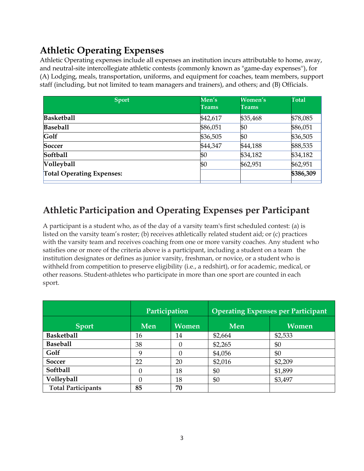## **Athletic Operating Expenses**

Athletic Operating expenses include all expenses an institution incurs attributable to home, away, and neutral-site intercollegiate athletic contests (commonly known as "game-day expenses''), for (A) Lodging, meals, transportation, uniforms, and equipment for coaches, team members, support staff (including, but not limited to team managers and trainers), and others; and (B) Officials.

| <b>Sport</b>                     | Men's<br><b>Teams</b> | Women's<br><b>Teams</b> | <b>Total</b> |
|----------------------------------|-----------------------|-------------------------|--------------|
| <b>Basketball</b>                | \$42,617              | \$35,468                | \$78,085     |
| <b>Baseball</b>                  | \$86,051              | \$0                     | \$86,051     |
| Golf                             | \$36,505              | \$0                     | \$36,505     |
| Soccer                           | \$44,347              | \$44,188                | \$88,535     |
| Softball                         | \$0                   | \$34,182                | \$34,182     |
| Volleyball                       | \$0                   | \$62,951                | \$62,951     |
| <b>Total Operating Expenses:</b> |                       |                         | \$386,309    |

## **Athletic Participation and Operating Expenses per Participant**

A participant is a student who, as of the day of a varsity team's first scheduled contest: (a) is listed on the varsity team's roster; (b) receives athletically related student aid; or (c) practices with the varsity team and receives coaching from one or more varsity coaches. Any student who satisfies one or more of the criteria above is a participant, including a student on a team the institution designates or defines as junior varsity, freshman, or novice, or a student who is withheld from competition to preserve eligibility (i.e., a redshirt), or for academic, medical, or other reasons. Student-athletes who participate in more than one sport are counted in each sport.

|                           | Participation |              | <b>Operating Expenses per Participant</b> |              |  |  |
|---------------------------|---------------|--------------|-------------------------------------------|--------------|--|--|
| <b>Sport</b>              | Men           | <b>Women</b> | Men                                       | <b>Women</b> |  |  |
| <b>Basketball</b>         | 16            | 14           | \$2,664                                   | \$2,533      |  |  |
| <b>Baseball</b>           | 38            |              | \$2,265                                   | \$0          |  |  |
| Golf                      | 9             |              | \$4,056                                   | \$0          |  |  |
| Soccer                    | 22            | 20           | \$2,016                                   | \$2,209      |  |  |
| Softball                  | 0             | 18           | \$0                                       | \$1,899      |  |  |
| Volleyball                |               | 18           | \$0                                       | \$3,497      |  |  |
| <b>Total Participants</b> | 85            | 70           |                                           |              |  |  |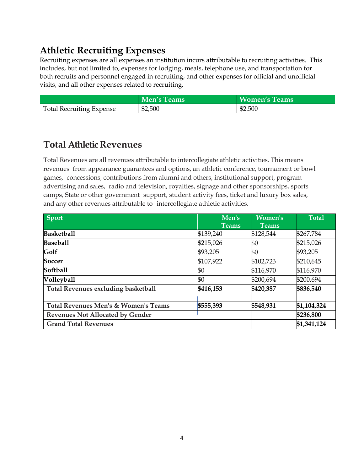#### **Athletic Recruiting Expenses**

Recruiting expenses are all expenses an institution incurs attributable to recruiting activities. This includes, but not limited to, expenses for lodging, meals, telephone use, and transportation for both recruits and personnel engaged in recruiting, and other expenses for official and unofficial visits, and all other expenses related to recruiting.

|                                 | <b>Men's Teams</b> | <b>Women's Teams</b> |
|---------------------------------|--------------------|----------------------|
| <b>Total Recruiting Expense</b> | \$2,500            | \$2.500              |

#### **Total Athletic Revenues**

Total Revenues are all revenues attributable to intercollegiate athletic activities. This means revenues from appearance guarantees and options, an athletic conference, tournament or bowl games, concessions, contributions from alumni and others, institutional support, program advertising and sales, radio and television, royalties, signage and other sponsorships, sports camps, State or other government support, student activity fees, ticket and luxury box sales, and any other revenues attributable to intercollegiate athletic activities.

| <b>Sport</b>                                    | Men's        | Women's      | <b>Total</b> |
|-------------------------------------------------|--------------|--------------|--------------|
|                                                 | <b>Teams</b> | <b>Teams</b> |              |
| <b>Basketball</b>                               | \$139,240    | \$128,544    | \$267,784    |
| <b>Baseball</b>                                 | \$215,026    | \$0          | \$215,026    |
| Golf                                            | \$93,205     | \$0          | \$93,205     |
| <b>Soccer</b>                                   | \$107,922    | \$102,723    | \$210,645    |
| <b>Softball</b>                                 | \$0          | \$116,970    | \$116,970    |
| <b>Volleyball</b>                               | \$0          | \$200,694    | \$200,694    |
| <b>Total Revenues excluding basketball</b>      | \$416,153    | \$420,387    | \$836,540    |
| <b>Total Revenues Men's &amp; Women's Teams</b> | \$555,393    | \$548,931    | \$1,104,324  |
| <b>Revenues Not Allocated by Gender</b>         |              |              | \$236,800    |
| <b>Grand Total Revenues</b>                     |              |              | \$1,341,124  |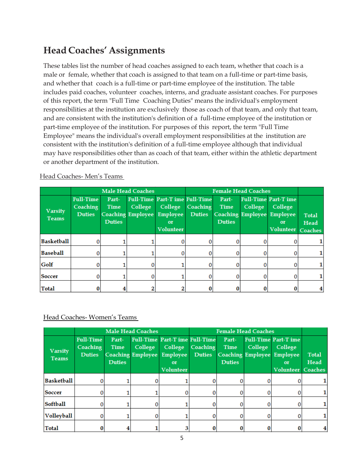#### **Head Coaches' Assignments**

These tables list the number of head coaches assigned to each team, whether that coach is a male or female, whether that coach is assigned to that team on a full-time or part-time basis, and whether that coach is a full-time or part-time employee of the institution. The table includes paid coaches, volunteer coaches, interns, and graduate assistant coaches. For purposes of this report, the term "Full Time Coaching Duties" means the individual's employment responsibilities at the institution are exclusively those as coach of that team, and only that team, and are consistent with the institution's definition of a full-time employee of the institution or part-time employee of the institution. For purposes of this report, the term "Full Time Employee" means the individual's overall employment responsibilities at the institution are consistent with the institution's definition of a full-time employee although that individual may have responsibilities other than as coach of that team, either within the athletic department or another department of the institution.

|                                | <b>Male Head Coaches</b>                             |                                |                                     |                                                                                                      |                           | <b>Female Head Coaches</b>     |                                     |                                                                                     |                                        |
|--------------------------------|------------------------------------------------------|--------------------------------|-------------------------------------|------------------------------------------------------------------------------------------------------|---------------------------|--------------------------------|-------------------------------------|-------------------------------------------------------------------------------------|----------------------------------------|
| <b>Varsity</b><br><b>Teams</b> | <b>Full-Time</b><br><b>Coaching</b><br><b>Duties</b> | Part-<br>Time<br><b>Duties</b> | College<br><b>Coaching Employee</b> | <b>Full-Time Part-T ime Full-Time</b><br><b>College</b><br><b>Employee</b><br>or<br><b>Volunteer</b> | Coaching<br><b>Duties</b> | Part-<br>Time<br><b>Duties</b> | College<br><b>Coaching Employee</b> | <b>Full-Time Part-T ime</b><br>College<br>Employee<br><b>or</b><br><b>Volunteer</b> | <b>Total</b><br>Head<br><b>Coaches</b> |
| <b>Basketball</b>              |                                                      |                                |                                     |                                                                                                      |                           | 0                              |                                     |                                                                                     |                                        |
| <b>Baseball</b>                |                                                      |                                |                                     |                                                                                                      |                           | 0                              |                                     |                                                                                     |                                        |
| Golf                           |                                                      |                                |                                     |                                                                                                      |                           |                                |                                     |                                                                                     |                                        |
| Soccer                         |                                                      |                                |                                     |                                                                                                      |                           |                                |                                     |                                                                                     |                                        |
| <b>Total</b>                   |                                                      |                                |                                     |                                                                                                      |                           |                                |                                     |                                                                                     |                                        |

#### Head Coaches- Men's Teams

Head Coaches- Women's Teams

|                                |                                                      |                                | <b>Male Head Coaches</b>            |                                                                                        | <b>Female Head Coaches</b> |                                       |         |                                                                                                              |                      |
|--------------------------------|------------------------------------------------------|--------------------------------|-------------------------------------|----------------------------------------------------------------------------------------|----------------------------|---------------------------------------|---------|--------------------------------------------------------------------------------------------------------------|----------------------|
| <b>Varsity</b><br><b>Teams</b> | <b>Full-Time</b><br><b>Coaching</b><br><b>Duties</b> | Part-<br>Time<br><b>Duties</b> | College<br><b>Coaching Employee</b> | <b>Full-Time Part-T ime Full-Time</b><br>College<br>Employee<br>or<br><b>Volunteer</b> | Coaching<br><b>Duties</b>  | Part-<br><b>Time</b><br><b>Duties</b> | College | <b>Full-Time Part-Time</b><br>College<br><b>Coaching Employee Employee</b><br>or<br><b>Volunteer Coaches</b> | <b>Total</b><br>Head |
| <b>Basketball</b>              |                                                      |                                |                                     |                                                                                        |                            |                                       |         |                                                                                                              |                      |
| Soccer                         |                                                      |                                |                                     |                                                                                        |                            |                                       |         |                                                                                                              |                      |
| Softball                       |                                                      |                                |                                     |                                                                                        |                            |                                       |         |                                                                                                              |                      |
| Volleyball                     |                                                      |                                |                                     |                                                                                        |                            |                                       |         |                                                                                                              | 1                    |
| <b>Total</b>                   |                                                      |                                |                                     |                                                                                        |                            |                                       |         |                                                                                                              | 4                    |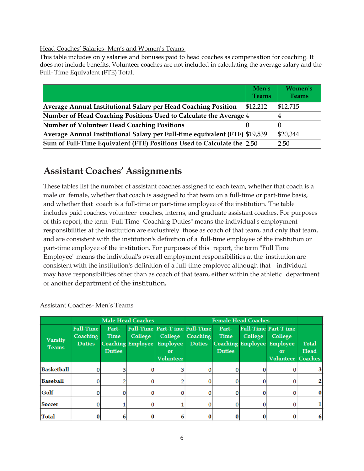#### Head Coaches' Salaries- Men's and Women's Teams

This table includes only salaries and bonuses paid to head coaches as compensation for coaching. It does not include benefits. Volunteer coaches are not included in calculating the average salary and the Full- Time Equivalent (FTE) Total.

|                                                                             | Men's<br><b>Teams</b> | Women's<br><b>Teams</b> |
|-----------------------------------------------------------------------------|-----------------------|-------------------------|
| Average Annual Institutional Salary per Head Coaching Position              | \$12,212              | \$12,715                |
| Number of Head Coaching Positions Used to Calculate the Average 4           |                       |                         |
| Number of Volunteer Head Coaching Positions                                 |                       |                         |
| Average Annual Institutional Salary per Full-time equivalent (FTE) \$19,539 |                       | \$20,344                |
| Sum of Full-Time Equivalent (FTE) Positions Used to Calculate the 2.50      |                       | 2.50                    |

#### **Assistant Coaches' Assignments**

These tables list the number of assistant coaches assigned to each team, whether that coach is a male or female, whether that coach is assigned to that team on a full-time or part-time basis, and whether that coach is a full-time or part-time employee of the institution. The table includes paid coaches, volunteer coaches, interns, and graduate assistant coaches. For purposes of this report, the term "Full Time Coaching Duties" means the individual's employment responsibilities at the institution are exclusively those as coach of that team, and only that team, and are consistent with the institution's definition of a full-time employee of the institution or part-time employee of the institution. For purposes of this report, the term "Full Time Employee" means the individual's overall employment responsibilities at the institution are consistent with the institution's definition of a full-time employee although that individual may have responsibilities other than as coach of that team, either within the athletic department or another department of the institution**.**

|                                |                                                      |                                       | <b>Male Head Coaches</b> |                                                                                                         | <b>Female Head Coaches</b> |                                       |         |                                                                                                       |                                        |
|--------------------------------|------------------------------------------------------|---------------------------------------|--------------------------|---------------------------------------------------------------------------------------------------------|----------------------------|---------------------------------------|---------|-------------------------------------------------------------------------------------------------------|----------------------------------------|
| <b>Varsity</b><br><b>Teams</b> | <b>Full-Time</b><br><b>Coaching</b><br><b>Duties</b> | Part-<br><b>Time</b><br><b>Duties</b> | <b>College</b>           | <b>Full-Time Part-Time Full-Time</b><br><b>College</b><br>Coaching Employee Employee<br>or<br>Volunteer | Coaching<br><b>Duties</b>  | Part-<br><b>Time</b><br><b>Duties</b> | College | <b>Full-Time Part-T ime</b><br>College<br><b>Coaching Employee Employee</b><br>or<br><b>Volunteer</b> | <b>Total</b><br>Head<br><b>Coaches</b> |
| <b>Basketball</b>              |                                                      |                                       |                          |                                                                                                         |                            |                                       |         |                                                                                                       |                                        |
| <b>Baseball</b>                |                                                      |                                       |                          |                                                                                                         |                            |                                       |         |                                                                                                       |                                        |
| Golf                           |                                                      | 0                                     |                          |                                                                                                         |                            |                                       |         |                                                                                                       |                                        |
| Soccer                         |                                                      |                                       |                          |                                                                                                         |                            |                                       |         |                                                                                                       |                                        |
| <b>Total</b>                   |                                                      |                                       |                          |                                                                                                         |                            |                                       |         |                                                                                                       |                                        |

Assistant Coaches- Men's Teams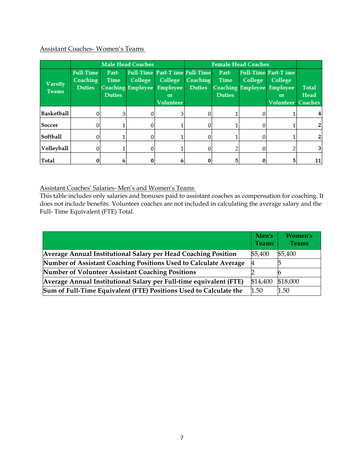#### Assistant Coaches- Women's Teams

|                                |                                               |                                       | <b>Male Head Coaches</b>                   |                                                                                              | <b>Female Head Coaches</b>       |                                       |                                            |                                                                             |                                        |
|--------------------------------|-----------------------------------------------|---------------------------------------|--------------------------------------------|----------------------------------------------------------------------------------------------|----------------------------------|---------------------------------------|--------------------------------------------|-----------------------------------------------------------------------------|----------------------------------------|
| <b>Varsity</b><br><b>Teams</b> | <b>Full-Time</b><br>Coaching<br><b>Duties</b> | Part-<br><b>Time</b><br><b>Duties</b> | <b>College</b><br><b>Coaching Employee</b> | <b>Full-Time Part-Time Full-Time</b><br><b>College</b><br>Employee<br>or<br><b>Volunteer</b> | <b>Coaching</b><br><b>Duties</b> | Part-<br><b>Time</b><br><b>Duties</b> | <b>College</b><br><b>Coaching Employee</b> | <b>Full-Time Part-Time</b><br>College<br>Employee<br>or<br><b>Volunteer</b> | <b>Total</b><br>Head<br><b>Coaches</b> |
| <b>Basketball</b>              |                                               |                                       |                                            |                                                                                              |                                  |                                       |                                            |                                                                             |                                        |
| Soccer                         |                                               |                                       |                                            |                                                                                              |                                  |                                       |                                            |                                                                             |                                        |
| Softball                       |                                               |                                       |                                            |                                                                                              |                                  |                                       |                                            |                                                                             |                                        |
| Volleyball                     |                                               |                                       |                                            |                                                                                              |                                  |                                       |                                            |                                                                             |                                        |
| <b>Total</b>                   |                                               |                                       |                                            |                                                                                              |                                  |                                       |                                            |                                                                             | 11                                     |

Assistant Coaches' Salaries- Men's and Women's Teams

This table includes only salaries and bonuses paid to assistant coaches as compensation for coaching. It does not include benefits. Volunteer coaches are not included in calculating the average salary and the Full- Time Equivalent (FTE) Total.

|                                                                    | Men's<br><b>Teams</b> | Women's<br><b>Teams</b> |
|--------------------------------------------------------------------|-----------------------|-------------------------|
| Average Annual Institutional Salary per Head Coaching Position     | \$5,400               | \$5,400                 |
| Number of Assistant Coaching Positions Used to Calculate Average   | 4                     |                         |
| Number of Volunteer Assistant Coaching Positions                   |                       | n                       |
| Average Annual Institutional Salary per Full-time equivalent (FTE) | \$14,400              | \$18,000                |
| Sum of Full-Time Equivalent (FTE) Positions Used to Calculate the  | 1.50                  | 1.50                    |